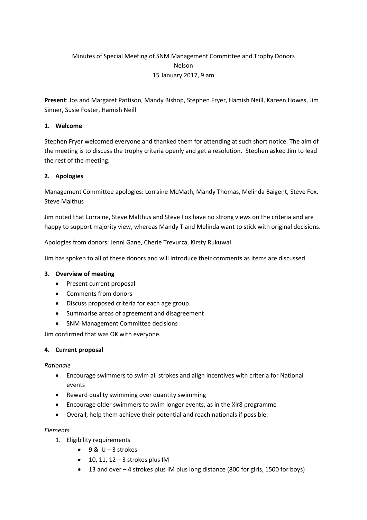# Minutes of Special Meeting of SNM Management Committee and Trophy Donors Nelson 15 January 2017, 9 am

**Present**: Jos and Margaret Pattison, Mandy Bishop, Stephen Fryer, Hamish Neill, Kareen Howes, Jim Sinner, Susie Foster, Hamish Neill

## **1. Welcome**

Stephen Fryer welcomed everyone and thanked them for attending at such short notice. The aim of the meeting is to discuss the trophy criteria openly and get a resolution. Stephen asked Jim to lead the rest of the meeting.

### **2. Apologies**

Management Committee apologies: Lorraine McMath, Mandy Thomas, Melinda Baigent, Steve Fox, Steve Malthus

Jim noted that Lorraine, Steve Malthus and Steve Fox have no strong views on the criteria and are happy to support majority view, whereas Mandy T and Melinda want to stick with original decisions.

Apologies from donors: Jenni Gane, Cherie Trevurza, Kirsty Rukuwai

Jim has spoken to all of these donors and will introduce their comments as items are discussed.

### **3. Overview of meeting**

- Present current proposal
- Comments from donors
- Discuss proposed criteria for each age group.
- Summarise areas of agreement and disagreement
- SNM Management Committee decisions

Jim confirmed that was OK with everyone.

### **4. Current proposal**

### *Rationale*

- Encourage swimmers to swim all strokes and align incentives with criteria for National events
- Reward quality swimming over quantity swimming
- Encourage older swimmers to swim longer events, as in the Xlr8 programme
- Overall, help them achieve their potential and reach nationals if possible.

### *Elements*

- 1. Eligibility requirements
	- $-9 & U 3$  strokes
	- $\bullet$  10, 11, 12 3 strokes plus IM
	- 13 and over 4 strokes plus IM plus long distance (800 for girls, 1500 for boys)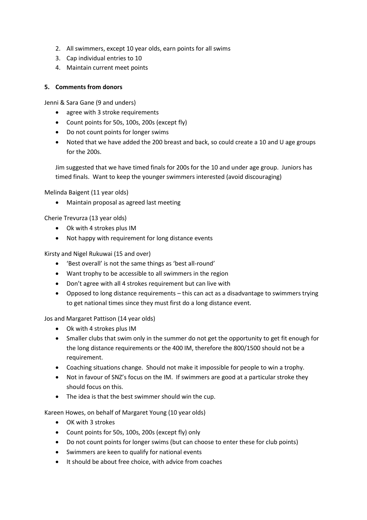- 2. All swimmers, except 10 year olds, earn points for all swims
- 3. Cap individual entries to 10
- 4. Maintain current meet points

## **5. Comments from donors**

Jenni & Sara Gane (9 and unders)

- agree with 3 stroke requirements
- Count points for 50s, 100s, 200s (except fly)
- Do not count points for longer swims
- Noted that we have added the 200 breast and back, so could create a 10 and U age groups for the 200s.

Jim suggested that we have timed finals for 200s for the 10 and under age group. Juniors has timed finals. Want to keep the younger swimmers interested (avoid discouraging)

Melinda Baigent (11 year olds)

Maintain proposal as agreed last meeting

Cherie Trevurza (13 year olds)

- Ok with 4 strokes plus IM
- Not happy with requirement for long distance events

Kirsty and Nigel Rukuwai (15 and over)

- 'Best overall' is not the same things as 'best all-round'
- Want trophy to be accessible to all swimmers in the region
- Don't agree with all 4 strokes requirement but can live with
- Opposed to long distance requirements this can act as a disadvantage to swimmers trying to get national times since they must first do a long distance event.

Jos and Margaret Pattison (14 year olds)

- Ok with 4 strokes plus IM
- Smaller clubs that swim only in the summer do not get the opportunity to get fit enough for the long distance requirements or the 400 IM, therefore the 800/1500 should not be a requirement.
- Coaching situations change. Should not make it impossible for people to win a trophy.
- Not in favour of SNZ's focus on the IM. If swimmers are good at a particular stroke they should focus on this.
- The idea is that the best swimmer should win the cup.

Kareen Howes, on behalf of Margaret Young (10 year olds)

- OK with 3 strokes
- Count points for 50s, 100s, 200s (except fly) only
- Do not count points for longer swims (but can choose to enter these for club points)
- Swimmers are keen to qualify for national events
- It should be about free choice, with advice from coaches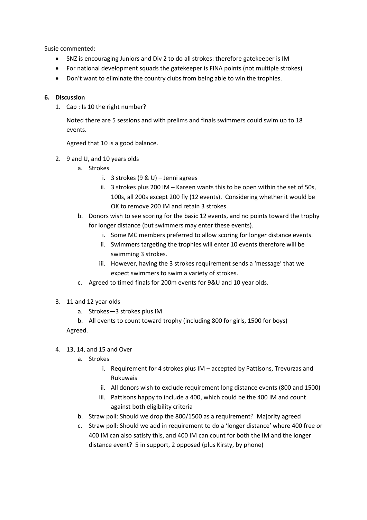Susie commented:

- SNZ is encouraging Juniors and Div 2 to do all strokes: therefore gatekeeper is IM
- For national development squads the gatekeeper is FINA points (not multiple strokes)
- Don't want to eliminate the country clubs from being able to win the trophies.

## **6. Discussion**

1. Cap : Is 10 the right number?

Noted there are 5 sessions and with prelims and finals swimmers could swim up to 18 events.

Agreed that 10 is a good balance.

- 2. 9 and U, and 10 years olds
	- a. Strokes
		- i. 3 strokes (9 & U) Jenni agrees
		- ii. 3 strokes plus 200 IM Kareen wants this to be open within the set of 50s. 100s, all 200s except 200 fly (12 events). Considering whether it would be OK to remove 200 IM and retain 3 strokes.
	- b. Donors wish to see scoring for the basic 12 events, and no points toward the trophy for longer distance (but swimmers may enter these events).
		- i. Some MC members preferred to allow scoring for longer distance events.
		- ii. Swimmers targeting the trophies will enter 10 events therefore will be swimming 3 strokes.
		- iii. However, having the 3 strokes requirement sends a 'message' that we expect swimmers to swim a variety of strokes.
	- c. Agreed to timed finals for 200m events for 9&U and 10 year olds.
- 3. 11 and 12 year olds
	- a. Strokes—3 strokes plus IM
	- b. All events to count toward trophy (including 800 for girls, 1500 for boys)

Agreed.

- 4. 13, 14, and 15 and Over
	- a. Strokes
		- i. Requirement for 4 strokes plus IM accepted by Pattisons, Trevurzas and Rukuwais
		- ii. All donors wish to exclude requirement long distance events (800 and 1500)
		- iii. Pattisons happy to include a 400, which could be the 400 IM and count against both eligibility criteria
	- b. Straw poll: Should we drop the 800/1500 as a requirement? Majority agreed
	- c. Straw poll: Should we add in requirement to do a 'longer distance' where 400 free or 400 IM can also satisfy this, and 400 IM can count for both the IM and the longer distance event? 5 in support, 2 opposed (plus Kirsty, by phone)